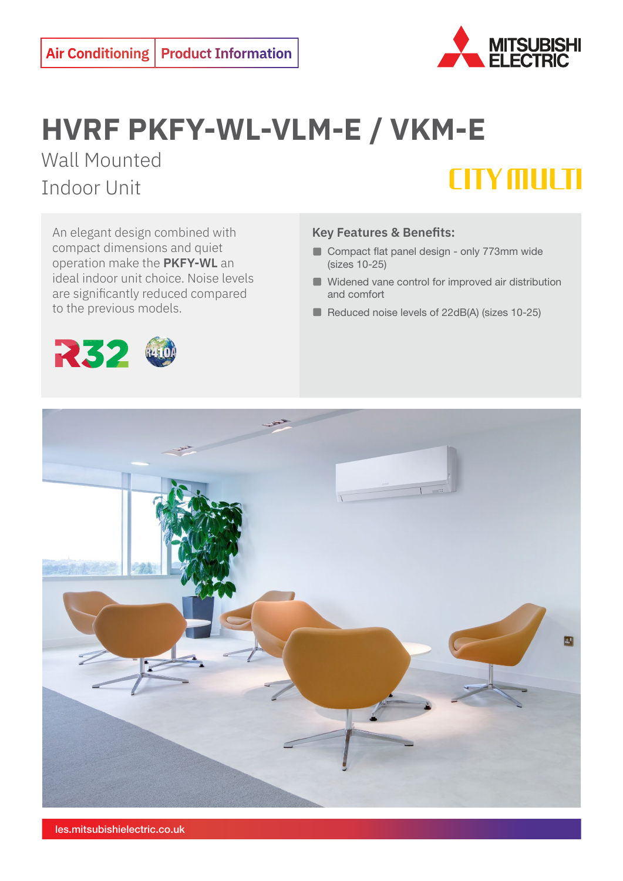

## **HVRF PKFY-WL-VLM-E / VKM-E** Wall Mounted

Indoor Unit



An elegant design combined with compact dimensions and quiet operation make the **PKFY-WL** an ideal indoor unit choice. Noise levels are significantly reduced compared to the previous models.

## **Key Features & Benefits:**

- Compact flat panel design only 773mm wide (sizes 10-25)
- Widened vane control for improved air distribution and comfort
- Reduced noise levels of 22dB(A) (sizes 10-25)